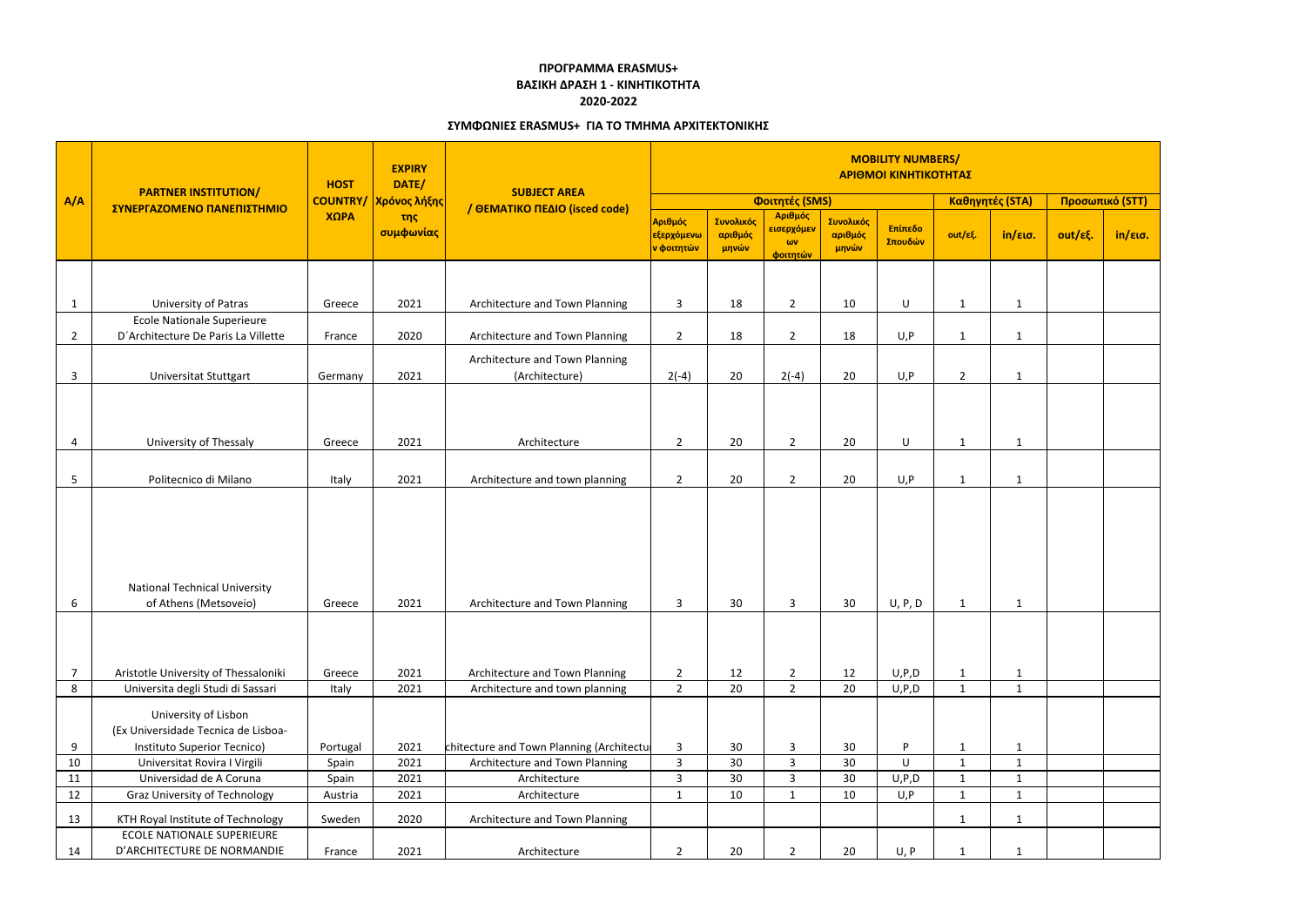| A/A            | <b>PARTNER INSTITUTION/</b><br>ΣΥΝΕΡΓΑΖΟΜΕΝΟ ΠΑΝΕΠΙΣΤΗΜΙΟ                                  | <b>HOST</b> | <b>EXPIRY</b><br>DATE/<br><b>COUNTRY/ Χρόνος λήξης</b><br>της<br>συμφωνίας | <b>SUBJECT AREA</b><br>/ ΘΕΜΑΤΙΚΟ ΠΕΔΙΟ (isced code) | <b>MOBILITY NUMBERS/</b><br>ΑΡΙΘΜΟΙ ΚΙΝΗΤΙΚΟΤΗΤΑΣ |                               |                                         |                               |                    |                |                 |                 |         |
|----------------|--------------------------------------------------------------------------------------------|-------------|----------------------------------------------------------------------------|------------------------------------------------------|---------------------------------------------------|-------------------------------|-----------------------------------------|-------------------------------|--------------------|----------------|-----------------|-----------------|---------|
|                |                                                                                            | ΧΩΡΑ        |                                                                            |                                                      | Φοιτητές (SMS)                                    |                               |                                         |                               |                    |                | Καθηγητές (STA) | Προσωπικό (STT) |         |
|                |                                                                                            |             |                                                                            |                                                      | Αριθμός<br>εξερχόμενω<br><mark>ν φοιτητών</mark>  | Συνολικός<br>αριθμός<br>μηνών | Αριθμός<br>εισερχόμεν<br>ωv<br>φοιτητών | Συνολικός<br>αριθμός<br>μηνών | Επίπεδο<br>Σπουδών | out/εξ.        | in/εισ.         | out/εξ.         | in/εισ. |
|                |                                                                                            |             |                                                                            |                                                      |                                                   |                               |                                         |                               |                    |                |                 |                 |         |
| $\mathbf{1}$   | University of Patras                                                                       | Greece      | 2021                                                                       | Architecture and Town Planning                       | 3                                                 | 18                            | $\overline{2}$                          | 10                            | U                  | 1              | $\mathbf{1}$    |                 |         |
|                | <b>Ecole Nationale Superieure</b>                                                          |             |                                                                            |                                                      |                                                   |                               |                                         |                               |                    |                |                 |                 |         |
| $\overline{2}$ | D'Architecture De Paris La Villette                                                        | France      | 2020                                                                       | Architecture and Town Planning                       | $\overline{2}$                                    | 18                            | $2^{\circ}$                             | 18                            | U, P               | 1              | $\mathbf{1}$    |                 |         |
| $\mathbf{3}$   | Universitat Stuttgart                                                                      | Germany     | 2021                                                                       | Architecture and Town Planning<br>(Architecture)     | $2(-4)$                                           | 20                            | $2(-4)$                                 | 20                            | U, P               | $\overline{2}$ | 1               |                 |         |
|                |                                                                                            |             |                                                                            |                                                      |                                                   |                               |                                         |                               |                    |                |                 |                 |         |
| 4              | University of Thessaly                                                                     | Greece      | 2021                                                                       | Architecture                                         | $\overline{2}$                                    | 20                            | $2^{\circ}$                             | 20                            | U                  | 1              | 1               |                 |         |
| 5              | Politecnico di Milano                                                                      | Italy       | 2021                                                                       | Architecture and town planning                       | $\overline{2}$                                    | 20                            | $\overline{2}$                          | 20                            | U, P               | 1              | $\mathbf{1}$    |                 |         |
| 6              | <b>National Technical University</b><br>of Athens (Metsoveio)                              | Greece      | 2021                                                                       | Architecture and Town Planning                       | 3                                                 | 30                            | $\mathbf{3}$                            | 30                            | U, P, D            | $\mathbf{1}$   | $\mathbf{1}$    |                 |         |
| $\overline{7}$ | Aristotle University of Thessaloniki                                                       | Greece      | 2021                                                                       | Architecture and Town Planning                       | $\overline{2}$                                    | 12                            | $\overline{2}$                          | 12                            | U, P, D            | $\mathbf{1}$   | $\mathbf{1}$    |                 |         |
| 8              | Universita degli Studi di Sassari                                                          | Italy       | 2021                                                                       | Architecture and town planning                       | $\overline{2}$                                    | 20                            | $\overline{2}$                          | 20                            | U, P, D            | $\mathbf{1}$   | $\mathbf{1}$    |                 |         |
| 9              | University of Lisbon<br>(Ex Universidade Tecnica de Lisboa-<br>Instituto Superior Tecnico) | Portugal    | 2021                                                                       | chitecture and Town Planning (Architectu             | $\mathbf{3}$                                      | 30                            | 3                                       | 30                            | P                  | $\mathbf{1}$   | $\mathbf{1}$    |                 |         |
| 10             | Universitat Rovira I Virgili                                                               | Spain       | 2021                                                                       | Architecture and Town Planning                       | $\mathbf{3}$                                      | 30 <sup>°</sup>               | $\mathbf{3}$                            | 30                            | U                  | $\mathbf{1}$   | 1               |                 |         |
| 11             | Universidad de A Coruna                                                                    | Spain       | 2021                                                                       | Architecture                                         | $\overline{3}$                                    | 30                            | $\mathbf{3}$                            | 30                            | U, P, D            | $\mathbf{1}$   | $\mathbf{1}$    |                 |         |
| 12             | <b>Graz University of Technology</b>                                                       | Austria     | 2021                                                                       | Architecture                                         | $\mathbf{1}$                                      | 10                            | $\mathbf{1}$                            | 10                            | U, P               | $\mathbf{1}$   | $\mathbf{1}$    |                 |         |
| 13             | KTH Royal Institute of Technology<br><b>ECOLE NATIONALE SUPERIEURE</b>                     | Sweden      | 2020                                                                       | Architecture and Town Planning                       |                                                   |                               |                                         |                               |                    | $\mathbf{1}$   | $\mathbf{1}$    |                 |         |
| 14             | D'ARCHITECTURE DE NORMANDIE                                                                | France      | 2021                                                                       | Architecture                                         | $\overline{2}$                                    | 20                            | $\overline{2}$                          | 20                            | U, P               | -1             | 1               |                 |         |

## **ΠΡΟΓΡΑΜΜΑ ERASMUS+ ΒΑΣΙΚΗ ΔΡΑΣΗ 1 - ΚΙΝΗΤΙΚΟΤΗΤΑ**

## **2020-2022**

## **ΣΥΜΦΩΝΙΕΣ ERASMUS+ ΓΙΑ ΤΟ ΤΜΗΜΑ ΑΡΧΙΤΕΚΤΟΝΙΚΗΣ**